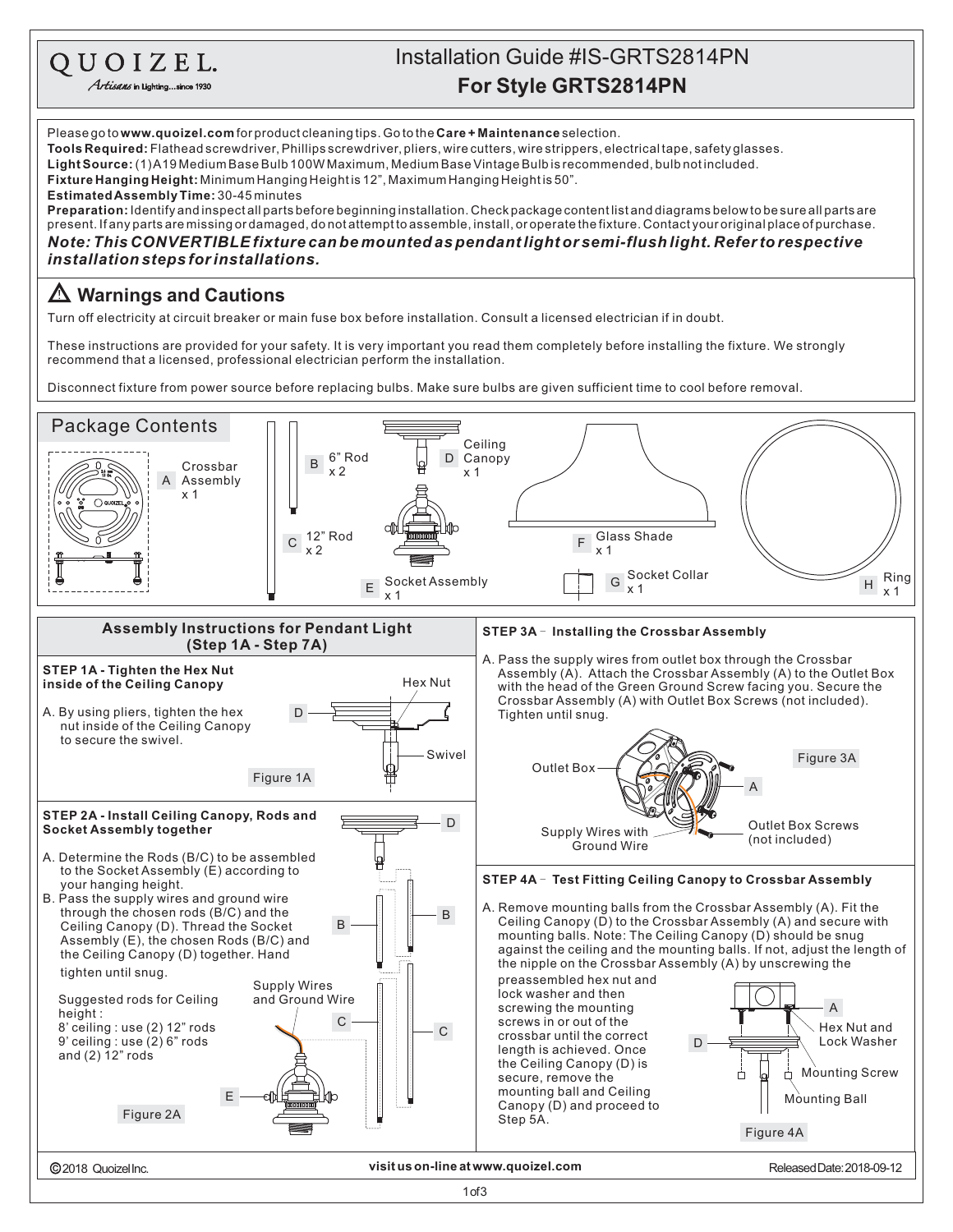QUOIZEL.

Artisans in Lighting...since 1930

## **For Style GRTS2814PN** Installation Guide #IS-GRTS2814PN

Please go to **www.quoizel.com** for product cleaning tips. Go to the **Care + Maintenance** selection.  ${\sf LightSource:}$  (1)A19 Medium Base Bulb 100W Maximum, Medium Base Vintage Bulb is recommended, bulb not included. **Fixture Hanging Height:** Minimum Hanging Heightis 12", Maximum Hanging Heightis 50". 30-45minutes **EstimatedAssemblyTime: Preparation:** Identify and inspectall parts before beginning installation. Check package content list and diagrams below to be sure all parts are present. If any parts are missing ordamaged, donot attempt to assemble, install, or operate the fixture. Contact your original place of purchase. **Tools Required:** Flathead screwdriver, Phillips screwdriver, pliers, wire cutters, wire strippers, electrical tape, safety glasses. *Note: This CONVERTIBLE fixture can bemounted as pendantlight or semi-flushlight. Refer to respective installationsteps forinstallations.*

## **Warnings and Cautions**

Turn off electricity at circuit breaker or main fuse box before installation. Consult a licensed electrician if in doubt.

These instructions are provided for your safety. It is very important you read them completely before installing the fixture. We strongly recommend that a licensed, professional electrician perform the installation.

Disconnect fixture from power source before replacing bulbs. Make sure bulbs are given sufficient time to cool before removal.

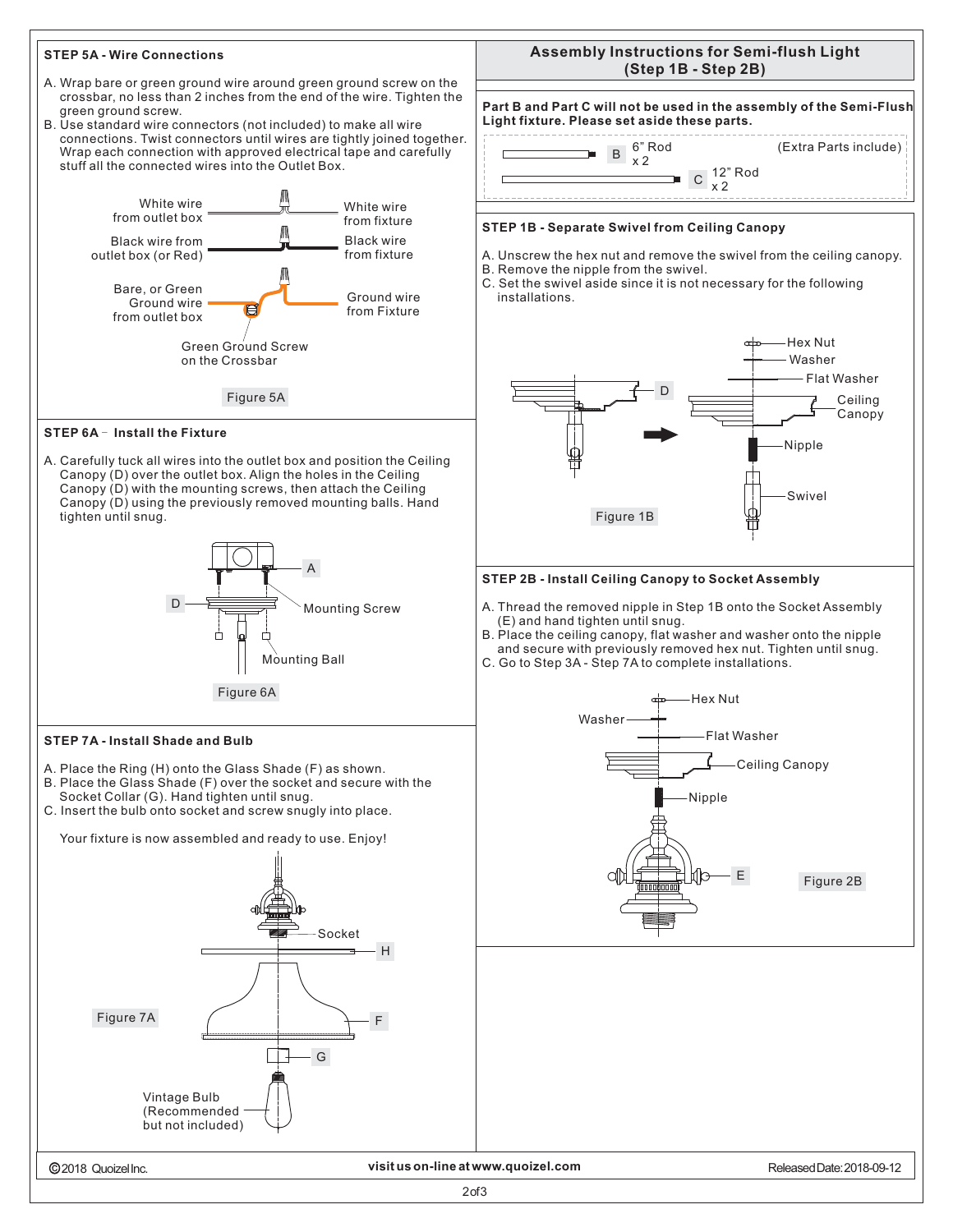